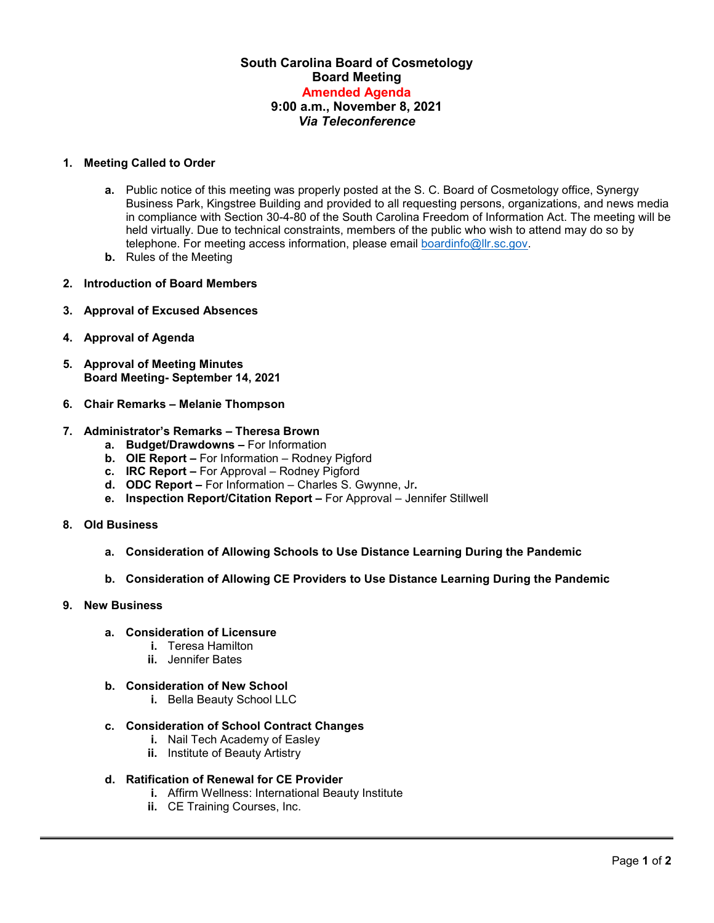# **South Carolina Board of Cosmetology Board Meeting Amended Agenda 9:00 a.m., November 8, 2021** *Via Teleconference*

## **1. Meeting Called to Order**

- **a.** Public notice of this meeting was properly posted at the S. C. Board of Cosmetology office, Synergy Business Park, Kingstree Building and provided to all requesting persons, organizations, and news media in compliance with Section 30-4-80 of the South Carolina Freedom of Information Act. The meeting will be held virtually. Due to technical constraints, members of the public who wish to attend may do so by telephone. For meeting access information, please email [boardinfo@llr.sc.gov.](mailto:boardinfo@llr.sc.gov)
- **b.** Rules of the Meeting
- **2. Introduction of Board Members**
- **3. Approval of Excused Absences**
- **4. Approval of Agenda**
- **5. Approval of Meeting Minutes Board Meeting- September 14, 2021**
- **6. Chair Remarks – Melanie Thompson**

#### **7. Administrator's Remarks – Theresa Brown**

- **a. Budget/Drawdowns –** For Information
- **b. OIE Report –** For Information Rodney Pigford
- **c. IRC Report –** For Approval Rodney Pigford
- **d. ODC Report –** For Information Charles S. Gwynne, Jr**.**
- **e. Inspection Report/Citation Report –** For Approval Jennifer Stillwell
- **8. Old Business**
	- **a. Consideration of Allowing Schools to Use Distance Learning During the Pandemic**
	- **b. Consideration of Allowing CE Providers to Use Distance Learning During the Pandemic**

#### **9. New Business**

- **a. Consideration of Licensure**
	- **i.** Teresa Hamilton
	- **ii.** Jennifer Bates
- **b. Consideration of New School**
	- **i.** Bella Beauty School LLC

## **c. Consideration of School Contract Changes**

- **i.** Nail Tech Academy of Easley
- **ii.** Institute of Beauty Artistry
- **d. Ratification of Renewal for CE Provider**
	- **i.** Affirm Wellness: International Beauty Institute
	- **ii.** CE Training Courses, Inc.